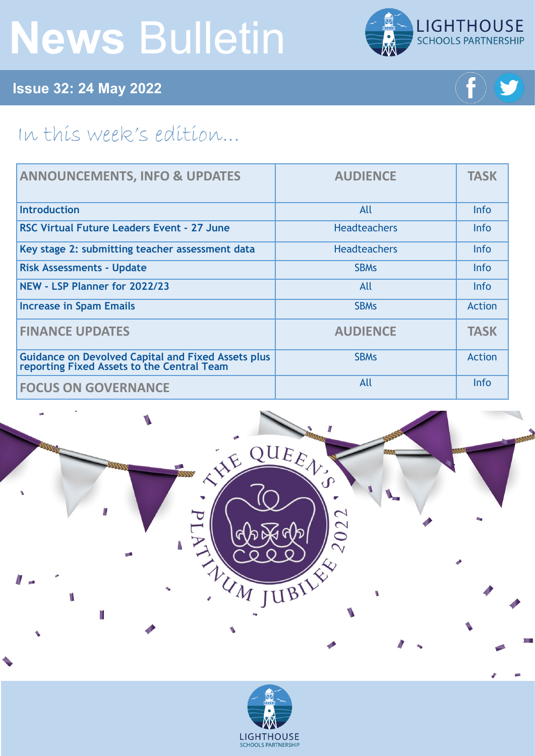# **News** Bulletin



**Issue 32: 24 May 2022**



## In this week's edition...

| <b>ANNOUNCEMENTS, INFO &amp; UPDATES</b>                                                         | <b>AUDIENCE</b>     | <b>TASK</b>   |
|--------------------------------------------------------------------------------------------------|---------------------|---------------|
| Introduction                                                                                     | All                 | <b>Info</b>   |
| RSC Virtual Future Leaders Event - 27 June                                                       | <b>Headteachers</b> | <b>Info</b>   |
| Key stage 2: submitting teacher assessment data                                                  | <b>Headteachers</b> | Info          |
| <b>Risk Assessments - Update</b>                                                                 | <b>SBMs</b>         | Info          |
| NEW - LSP Planner for 2022/23                                                                    | All                 | <b>Info</b>   |
| <b>Increase in Spam Emails</b>                                                                   | <b>SBMs</b>         | <b>Action</b> |
| <b>FINANCE UPDATES</b>                                                                           | <b>AUDIENCE</b>     | <b>TASK</b>   |
| Guidance on Devolved Capital and Fixed Assets plus<br>reporting Fixed Assets to the Central Team | <b>SBMs</b>         | <b>Action</b> |
| <b>FOCUS ON GOVERNANCE</b>                                                                       | All                 | Info          |



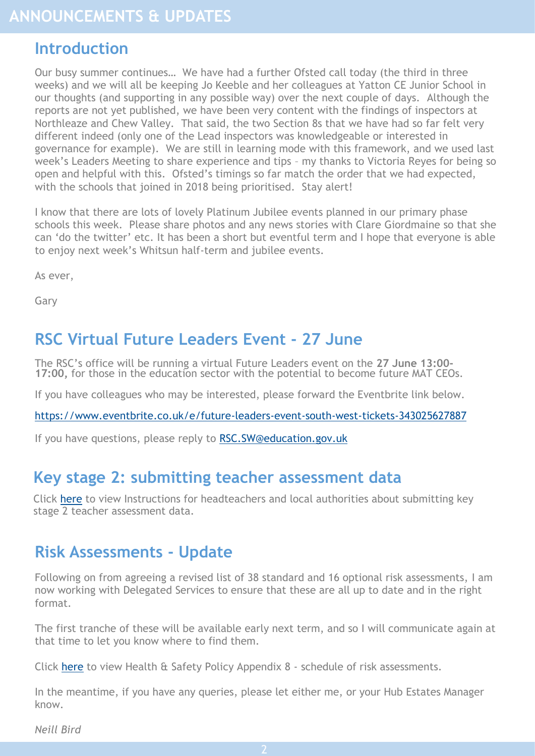#### <span id="page-1-0"></span>**Introduction**

Our busy summer continues… We have had a further Ofsted call today (the third in three weeks) and we will all be keeping Jo Keeble and her colleagues at Yatton CE Junior School in our thoughts (and supporting in any possible way) over the next couple of days. Although the reports are not yet published, we have been very content with the findings of inspectors at Northleaze and Chew Valley. That said, the two Section 8s that we have had so far felt very different indeed (only one of the Lead inspectors was knowledgeable or interested in governance for example). We are still in learning mode with this framework, and we used last week's Leaders Meeting to share experience and tips – my thanks to Victoria Reyes for being so open and helpful with this. Ofsted's timings so far match the order that we had expected, with the schools that joined in 2018 being prioritised. Stay alert!

I know that there are lots of lovely Platinum Jubilee events planned in our primary phase schools this week. Please share photos and any news stories with Clare Giordmaine so that she can 'do the twitter' etc. It has been a short but eventful term and I hope that everyone is able to enjoy next week's Whitsun half-term and jubilee events.

As ever,

Gary

### **RSC Virtual Future Leaders Event - 27 June**

The RSC's office will be running a virtual Future Leaders event on the **27 June 13:00- 17:00,** for those in the education sector with the potential to become future MAT CEOs.

If you have colleagues who may be interested, please forward the Eventbrite link below.

[https://www.eventbrite.co.uk/e/future](https://www.eventbrite.co.uk/e/future-leaders-event-south-west-tickets-343025627887)-leaders-event-south-west-tickets-343025627887

If you have questions, please reply to RSC. SW@education.gov.uk

#### **[Key stage 2: submitting teacher assessment data](https://www.gov.uk/government/publications/key-stage-2-submitting-teacher-assessment-data?utm_medium=email&utm_campaign=govuk-notifications-topic&utm_source=e2f88b04-4ac3-4274-9027-b68a01ae956d&utm_content=daily)**

Click [here](https://www.gov.uk/government/publications/key-stage-2-submitting-teacher-assessment-data?utm_medium=email&utm_campaign=govuk-notifications-topic&utm_source=e2f88b04-4ac3-4274-9027-b68a01ae956d&utm_content=daily) to view Instructions for headteachers and local authorities about submitting key stage 2 teacher assessment data.

#### **Risk Assessments - Update**

Following on from agreeing a revised list of 38 standard and 16 optional risk assessments, I am now working with Delegated Services to ensure that these are all up to date and in the right format.

The first tranche of these will be available early next term, and so I will communicate again at that time to let you know where to find them.

Click [here](https://foldr.lsp.org.uk/public/NJQMW) to view Health & Safety Policy Appendix 8 - schedule of risk assessments.

In the meantime, if you have any queries, please let either me, or your Hub Estates Manager know.

*Neill Bird*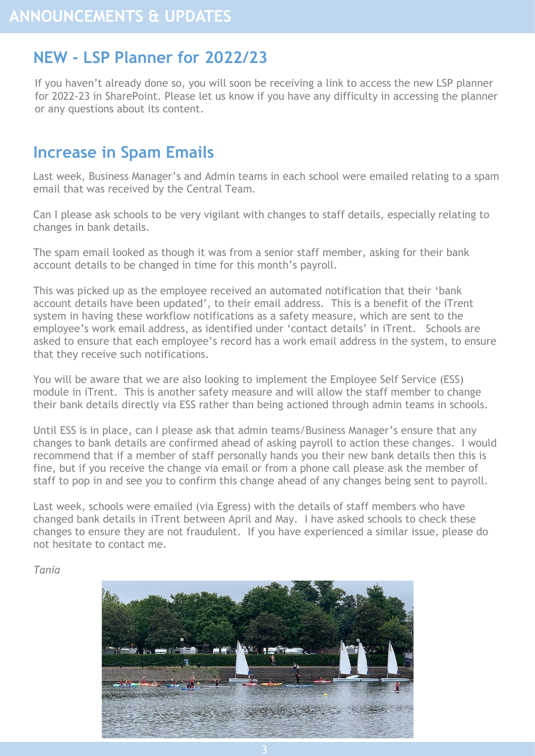### <span id="page-2-0"></span>**NEW - LSP Planner for 2022/23**

If you haven't already done so, you will soon be receiving a link to access the new LSP planner for 2022-23 in SharePoint. Please let us know if you have any difficulty in accessing the planner or any questions about its content.

## **Increase in Spam Emails**

Last week, Business Manager's and Admin teams in each school were emailed relating to a spam email that was received by the Central Team.

Can I please ask schools to be very vigilant with changes to staff details, especially relating to changes in bank details.

The spam email looked as though it was from a senior staff member, asking for their bank account details to be changed in time for this month's payroll.

This was picked up as the employee received an automated notification that their 'bank account details have been updated', to their email address. This is a benefit of the iTrent system in having these workflow notifications as a safety measure, which are sent to the employee's work email address, as identified under 'contact details' in iTrent. Schools are asked to ensure that each employee's record has a work email address in the system, to ensure that they receive such notifications.

You will be aware that we are also looking to implement the Employee Self Service (ESS) module in iTrent. This is another safety measure and will allow the staff member to change their bank details directly via ESS rather than being actioned through admin teams in schools.

Until ESS is in place, can I please ask that admin teams/Business Manager's ensure that any changes to bank details are confirmed ahead of asking payroll to action these changes. I would recommend that if a member of staff personally hands you their new bank details then this is fine, but if you receive the change via email or from a phone call please ask the member of staff to pop in and see you to confirm this change ahead of any changes being sent to payroll.

Last week, schools were emailed (via Egress) with the details of staff members who have changed bank details in iTrent between April and May. I have asked schools to check these changes to ensure they are not fraudulent. If you have experienced a similar issue, please do not hesitate to contact me.

*Tania*

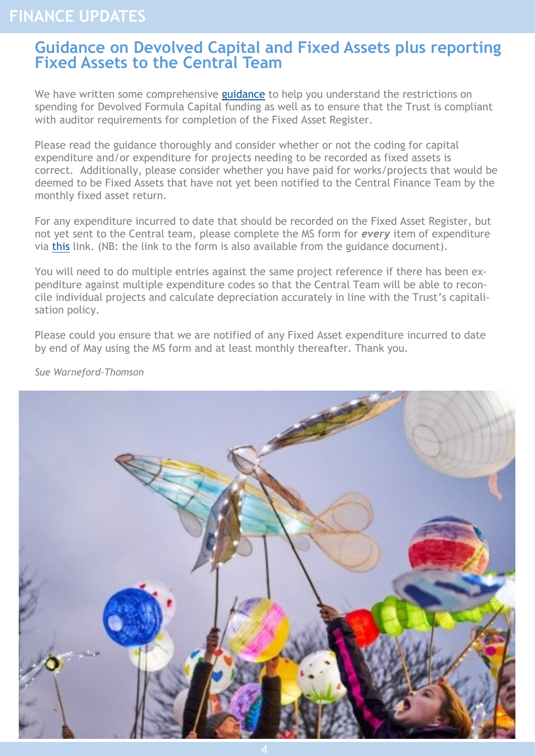### <span id="page-3-0"></span>**FINANCE UPDATES**

#### **Guidance on Devolved Capital and Fixed Assets plus reporting Fixed Assets to the Central Team**

We have written some comprehensive [guidance](https://foldr.lsp.org.uk/public/P0GGW) to help you understand the restrictions on spending for Devolved Formula Capital funding as well as to ensure that the Trust is compliant with auditor requirements for completion of the Fixed Asset Register.

Please read the guidance thoroughly and consider whether or not the coding for capital expenditure and/or expenditure for projects needing to be recorded as fixed assets is correct. Additionally, please consider whether you have paid for works/projects that would be deemed to be Fixed Assets that have not yet been notified to the Central Finance Team by the monthly fixed asset return.

For any expenditure incurred to date that should be recorded on the Fixed Asset Register, but not yet sent to the Central team, please complete the MS form for *every* item of expenditure via [this](https://forms.office.com/pages/responsepage.aspx?id=-Iolp0FXrkKtRDgOpwxaABLreWfCssZFu7-F3yrk75NUNEVLVzdQWU9IMTZISUdFUk05SlVVS1lZVi4u&web=1&wdLOR=c1488559B-3FA0-438B-84BA-80C95920F449) link. (NB: the link to the form is also available from the guidance document).

You will need to do multiple entries against the same project reference if there has been expenditure against multiple expenditure codes so that the Central Team will be able to reconcile individual projects and calculate depreciation accurately in line with the Trust's capitalisation policy.

Please could you ensure that we are notified of any Fixed Asset expenditure incurred to date by end of May using the MS form and at least monthly thereafter. Thank you.



*Sue Warneford-Thomson*